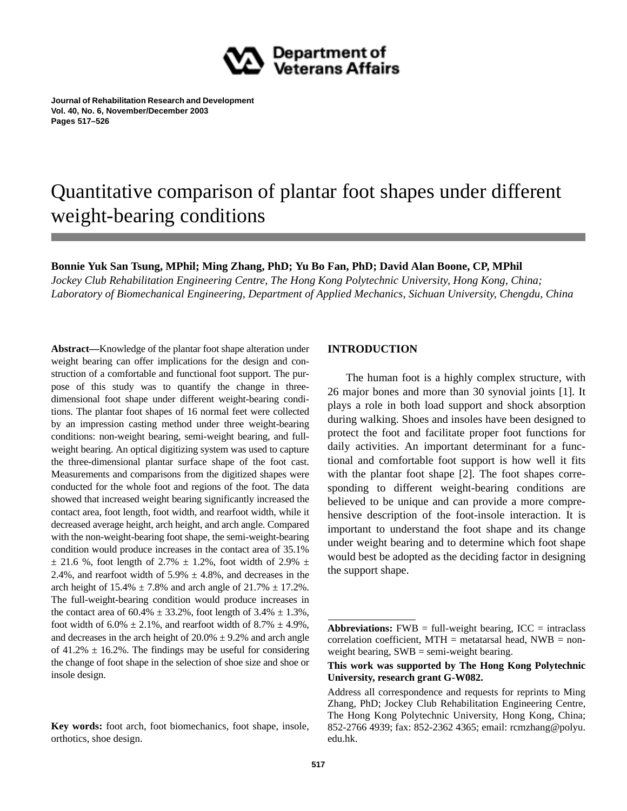

**Journal of Rehabilitation Research and Development Vol. 40, No. 6, November/December 2003 Pages 517–526**

# Quantitative comparison of plantar foot shapes under different weight-bearing conditions

# **Bonnie Yuk San Tsung, MPhil; Ming Zhang, PhD; Yu Bo Fan, PhD; David Alan Boone, CP, MPhil**

*Jockey Club Rehabilitation Engineering Centre, The Hong Kong Polytechnic University, Hong Kong, China; Laboratory of Biomechanical Engineering, Department of Applied Mechanics, Sichuan University, Chengdu, China*

**Abstract—**Knowledge of the plantar foot shape alteration under weight bearing can offer implications for the design and construction of a comfortable and functional foot support. The purpose of this study was to quantify the change in threedimensional foot shape under different weight-bearing conditions. The plantar foot shapes of 16 normal feet were collected by an impression casting method under three weight-bearing conditions: non-weight bearing, semi-weight bearing, and fullweight bearing. An optical digitizing system was used to capture the three-dimensional plantar surface shape of the foot cast. Measurements and comparisons from the digitized shapes were conducted for the whole foot and regions of the foot. The data showed that increased weight bearing significantly increased the contact area, foot length, foot width, and rearfoot width, while it decreased average height, arch height, and arch angle. Compared with the non-weight-bearing foot shape, the semi-weight-bearing condition would produce increases in the contact area of 35.1%  $\pm$  21.6 %, foot length of 2.7%  $\pm$  1.2%, foot width of 2.9%  $\pm$ 2.4%, and rearfoot width of  $5.9\% \pm 4.8\%$ , and decreases in the arch height of  $15.4\% \pm 7.8\%$  and arch angle of  $21.7\% \pm 17.2\%$ . The full-weight-bearing condition would produce increases in the contact area of  $60.4\% \pm 33.2\%$ , foot length of  $3.4\% \pm 1.3\%$ , foot width of  $6.0\% \pm 2.1\%$ , and rearfoot width of  $8.7\% \pm 4.9\%$ , and decreases in the arch height of  $20.0\% \pm 9.2\%$  and arch angle of 41.2%  $\pm$  16.2%. The findings may be useful for considering the change of foot shape in the selection of shoe size and shoe or insole design.

# **INTRODUCTION**

The human foot is a highly complex structure, with 26 major bones and more than 30 synovial joints [1]. It plays a role in both load support and shock absorption during walking. Shoes and insoles have been designed to protect the foot and facilitate proper foot functions for daily activities. An important determinant for a functional and comfortable foot support is how well it fits with the plantar foot shape [2]. The foot shapes corresponding to different weight-bearing conditions are believed to be unique and can provide a more comprehensive description of the foot-insole interaction. It is important to understand the foot shape and its change under weight bearing and to determine which foot shape would best be adopted as the deciding factor in designing the support shape.

**Key words:** foot arch, foot biomechanics, foot shape, insole, orthotics, shoe design.

**Abbreviations:**  $FWB = full-weight bearing$ ,  $ICC = intraclass$ correlation coefficient,  $MTH =$  metatarsal head,  $NWB =$  nonweight bearing, SWB = semi-weight bearing.

**This work was supported by The Hong Kong Polytechnic University, research grant G-W082.**

Address all correspondence and requests for reprints to Ming Zhang, PhD; Jockey Club Rehabilitation Engineering Centre, The Hong Kong Polytechnic University, Hong Kong, China; 852-2766 4939; fax: 852-2362 4365; email: rcmzhang@polyu. edu.hk.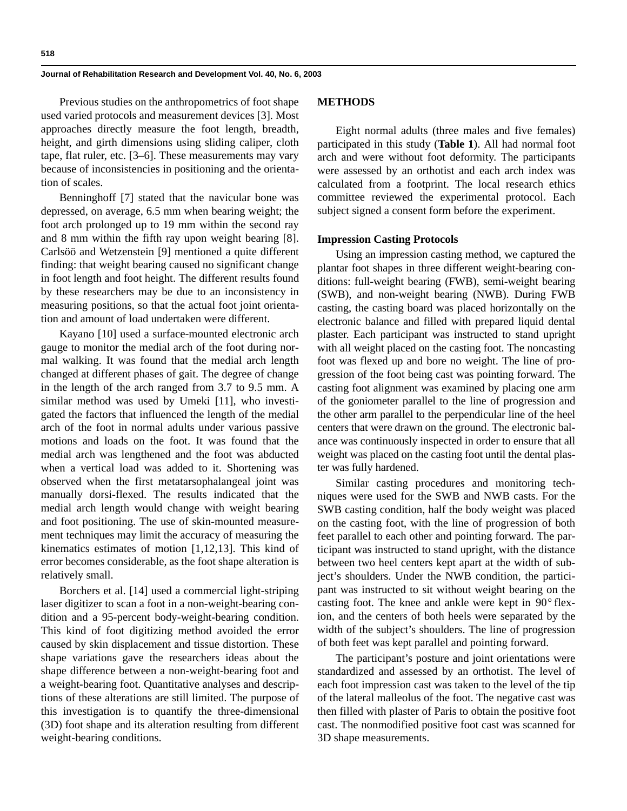Previous studies on the anthropometrics of foot shape used varied protocols and measurement devices [3]. Most approaches directly measure the foot length, breadth, height, and girth dimensions using sliding caliper, cloth tape, flat ruler, etc. [3–6]. These measurements may vary because of inconsistencies in positioning and the orientation of scales.

Benninghoff [7] stated that the navicular bone was depressed, on average, 6.5 mm when bearing weight; the foot arch prolonged up to 19 mm within the second ray and 8 mm within the fifth ray upon weight bearing [8]. Carlsöö and Wetzenstein [9] mentioned a quite different finding: that weight bearing caused no significant change in foot length and foot height. The different results found by these researchers may be due to an inconsistency in measuring positions, so that the actual foot joint orientation and amount of load undertaken were different.

Kayano [10] used a surface-mounted electronic arch gauge to monitor the medial arch of the foot during normal walking. It was found that the medial arch length changed at different phases of gait. The degree of change in the length of the arch ranged from 3.7 to 9.5 mm. A similar method was used by Umeki [11], who investigated the factors that influenced the length of the medial arch of the foot in normal adults under various passive motions and loads on the foot. It was found that the medial arch was lengthened and the foot was abducted when a vertical load was added to it. Shortening was observed when the first metatarsophalangeal joint was manually dorsi-flexed. The results indicated that the medial arch length would change with weight bearing and foot positioning. The use of skin-mounted measurement techniques may limit the accuracy of measuring the kinematics estimates of motion [1,12,13]. This kind of error becomes considerable, as the foot shape alteration is relatively small.

Borchers et al. [14] used a commercial light-striping laser digitizer to scan a foot in a non-weight-bearing condition and a 95-percent body-weight-bearing condition. This kind of foot digitizing method avoided the error caused by skin displacement and tissue distortion. These shape variations gave the researchers ideas about the shape difference between a non-weight-bearing foot and a weight-bearing foot. Quantitative analyses and descriptions of these alterations are still limited. The purpose of this investigation is to quantify the three-dimensional (3D) foot shape and its alteration resulting from different weight-bearing conditions.

## **METHODS**

Eight normal adults (three males and five females) participated in this study (**Table 1**). All had normal foot arch and were without foot deformity. The participants were assessed by an orthotist and each arch index was calculated from a footprint. The local research ethics committee reviewed the experimental protocol. Each subject signed a consent form before the experiment.

#### **Impression Casting Protocols**

Using an impression casting method, we captured the plantar foot shapes in three different weight-bearing conditions: full-weight bearing (FWB), semi-weight bearing (SWB), and non-weight bearing (NWB). During FWB casting, the casting board was placed horizontally on the electronic balance and filled with prepared liquid dental plaster. Each participant was instructed to stand upright with all weight placed on the casting foot. The noncasting foot was flexed up and bore no weight. The line of progression of the foot being cast was pointing forward. The casting foot alignment was examined by placing one arm of the goniometer parallel to the line of progression and the other arm parallel to the perpendicular line of the heel centers that were drawn on the ground. The electronic balance was continuously inspected in order to ensure that all weight was placed on the casting foot until the dental plaster was fully hardened.

Similar casting procedures and monitoring techniques were used for the SWB and NWB casts. For the SWB casting condition, half the body weight was placed on the casting foot, with the line of progression of both feet parallel to each other and pointing forward. The participant was instructed to stand upright, with the distance between two heel centers kept apart at the width of subject's shoulders. Under the NWB condition, the participant was instructed to sit without weight bearing on the casting foot. The knee and ankle were kept in  $90^{\circ}$  flexion, and the centers of both heels were separated by the width of the subject's shoulders. The line of progression of both feet was kept parallel and pointing forward.

The participant's posture and joint orientations were standardized and assessed by an orthotist. The level of each foot impression cast was taken to the level of the tip of the lateral malleolus of the foot. The negative cast was then filled with plaster of Paris to obtain the positive foot cast. The nonmodified positive foot cast was scanned for 3D shape measurements.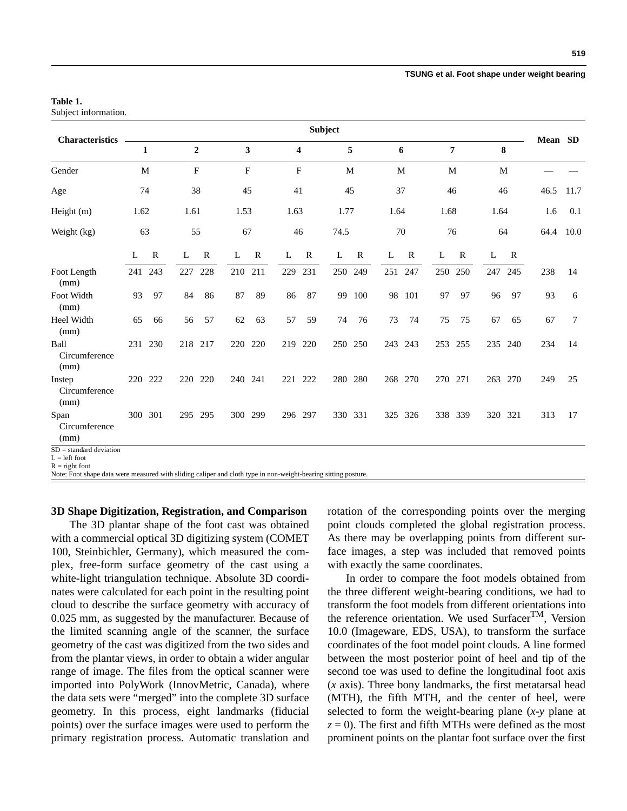#### **TSUNG et al. Foot shape under weight bearing**

## **Table 1.**

Subject information.

|                                              | <b>Subject</b> |              |                |                  |      |              |              |           |              |         |      |             |      |             |      |             |      |         |
|----------------------------------------------|----------------|--------------|----------------|------------------|------|--------------|--------------|-----------|--------------|---------|------|-------------|------|-------------|------|-------------|------|---------|
| <b>Characteristics</b>                       |                | 1            |                | $\boldsymbol{2}$ |      | 3            |              | 4         |              | 5       |      | 6           |      | 7           |      | 8           |      | Mean SD |
| Gender                                       |                | M            | $\overline{F}$ |                  |      | $\mathbf{F}$ | $\mathbf{F}$ |           |              | M       |      | M           |      | M           | M    |             |      |         |
| Age                                          | 74             |              | 38             |                  | 45   |              | 41           |           | 45           |         | 37   |             |      | 46          | 46   |             | 46.5 | 11.7    |
| Height $(m)$                                 | 1.62           |              | 1.61           |                  | 1.53 |              | 1.63         |           | 1.77         |         | 1.64 |             | 1.68 |             | 1.64 |             | 1.6  | 0.1     |
| Weight (kg)                                  | 63             |              | 55             |                  | 67   |              | 46           |           | 74.5         |         |      | 70          |      | 76          | 64   |             | 64.4 | 10.0    |
|                                              | L              | $\mathbb{R}$ | L              | $\mathbf R$      | L    | $\mathbb{R}$ | L            | ${\bf R}$ | $\mathbf{L}$ | R       | L    | $\mathbf R$ | L    | $\mathbf R$ | L    | $\mathbf R$ |      |         |
| Foot Length<br>(mm)                          | 241            | 243          | 227            | 228              | 210  | 211          | 229          | 231       | 250          | 249     |      | 251 247     |      | 250 250     | 247  | 245         | 238  | 14      |
| Foot Width<br>(mm)                           | 93             | 97           | 84             | 86               | 87   | 89           | 86           | 87        | 99           | 100     |      | 98 101      | 97   | 97          | 96   | 97          | 93   | 6       |
| Heel Width<br>(mm)                           | 65             | 66           | 56             | 57               | 62   | 63           | 57           | 59        | 74           | 76      | 73   | 74          | 75   | 75          | 67   | 65          | 67   | $\tau$  |
| Ball<br>Circumference<br>(mm)                |                | 231 230      | 218            | 217              | 220  | 220          | 219          | 220       |              | 250 250 |      | 243 243     | 253  | 255         | 235  | 240         | 234  | 14      |
| Instep<br>Circumference<br>(mm)              |                | 220 222      | 220            | 220              | 240  | 241          | 221          | 222       | 280          | 280     | 268  | 270         | 270  | 271         | 263  | 270         | 249  | 25      |
| Span<br>Circumference<br>(mm)                |                | 300 301      | 295            | 295              | 300  | 299          |              | 296 297   |              | 330 331 |      | 325 326     |      | 338 339     |      | 320 321     | 313  | 17      |
| $SD = standard deviation$<br>$L = left foot$ |                |              |                |                  |      |              |              |           |              |         |      |             |      |             |      |             |      |         |

 $R =$  right foot

Note: Foot shape data were measured with sliding caliper and cloth type in non-weight-bearing sitting posture.

#### **3D Shape Digitization, Registration, and Comparison**

The 3D plantar shape of the foot cast was obtained with a commercial optical 3D digitizing system (COMET 100, Steinbichler, Germany), which measured the complex, free-form surface geometry of the cast using a white-light triangulation technique. Absolute 3D coordinates were calculated for each point in the resulting point cloud to describe the surface geometry with accuracy of 0.025 mm, as suggested by the manufacturer. Because of the limited scanning angle of the scanner, the surface geometry of the cast was digitized from the two sides and from the plantar views, in order to obtain a wider angular range of image. The files from the optical scanner were imported into PolyWork (InnovMetric, Canada), where the data sets were "merged" into the complete 3D surface geometry. In this process, eight landmarks (fiducial points) over the surface images were used to perform the primary registration process. Automatic translation and rotation of the corresponding points over the merging point clouds completed the global registration process. As there may be overlapping points from different surface images, a step was included that removed points with exactly the same coordinates.

In order to compare the foot models obtained from the three different weight-bearing conditions, we had to transform the foot models from different orientations into the reference orientation. We used Surfacer<sup>TM</sup>, Version 10.0 (Imageware, EDS, USA), to transform the surface coordinates of the foot model point clouds. A line formed between the most posterior point of heel and tip of the second toe was used to define the longitudinal foot axis (*x* axis). Three bony landmarks, the first metatarsal head (MTH), the fifth MTH, and the center of heel, were selected to form the weight-bearing plane (*x*-*y* plane at  $z = 0$ ). The first and fifth MTHs were defined as the most prominent points on the plantar foot surface over the first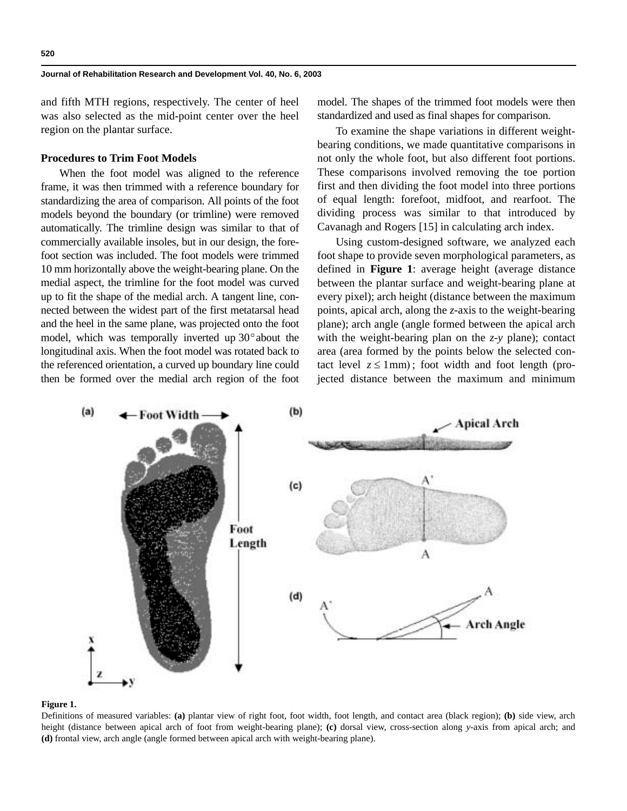and fifth MTH regions, respectively. The center of heel was also selected as the mid-point center over the heel region on the plantar surface.

### **Procedures to Trim Foot Models**

When the foot model was aligned to the reference frame, it was then trimmed with a reference boundary for standardizing the area of comparison. All points of the foot models beyond the boundary (or trimline) were removed automatically. The trimline design was similar to that of commercially available insoles, but in our design, the forefoot section was included. The foot models were trimmed 10 mm horizontally above the weight-bearing plane. On the medial aspect, the trimline for the foot model was curved up to fit the shape of the medial arch. A tangent line, connected between the widest part of the first metatarsal head and the heel in the same plane, was projected onto the foot model, which was temporally inverted up  $30^{\circ}$  about the longitudinal axis. When the foot model was rotated back to the referenced orientation, a curved up boundary line could then be formed over the medial arch region of the foot

model. The shapes of the trimmed foot models were then standardized and used as final shapes for comparison.

To examine the shape variations in different weightbearing conditions, we made quantitative comparisons in not only the whole foot, but also different foot portions. These comparisons involved removing the toe portion first and then dividing the foot model into three portions of equal length: forefoot, midfoot, and rearfoot. The dividing process was similar to that introduced by Cavanagh and Rogers [15] in calculating arch index.

Using custom-designed software, we analyzed each foot shape to provide seven morphological parameters, as defined in **Figure 1**: average height (average distance between the plantar surface and weight-bearing plane at every pixel); arch height (distance between the maximum points, apical arch, along the *z*-axis to the weight-bearing plane); arch angle (angle formed between the apical arch with the weight-bearing plan on the *z*-*y* plane); contact area (area formed by the points below the selected contact level  $z \leq 1$ mm); foot width and foot length (projected distance between the maximum and minimum



#### **Figure 1.**

Definitions of measured variables: **(a)** plantar view of right foot, foot width, foot length, and contact area (black region); **(b)** side view, arch height (distance between apical arch of foot from weight-bearing plane); **(c)** dorsal view, cross-section along *y*-axis from apical arch; and **(d)** frontal view, arch angle (angle formed between apical arch with weight-bearing plane).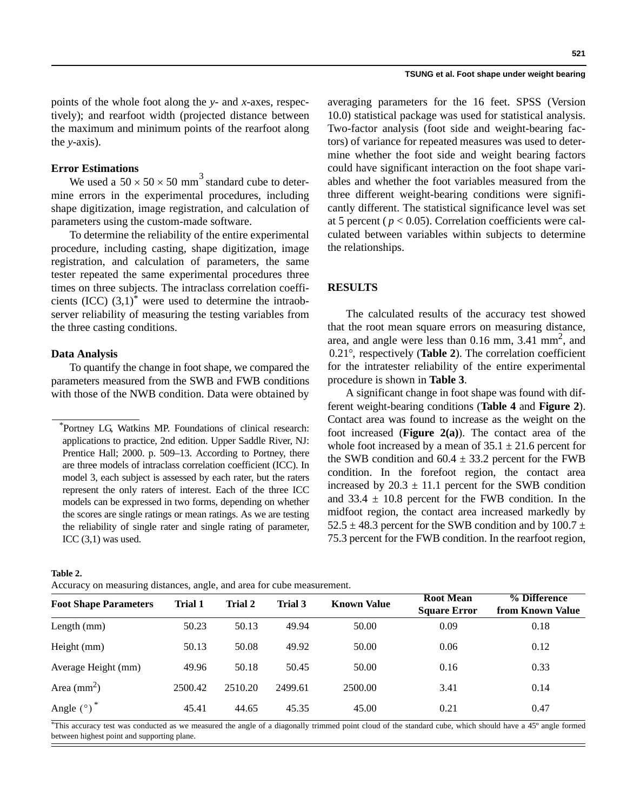#### **TSUNG et al. Foot shape under weight bearing**

points of the whole foot along the *y*- and *x*-axes, respectively); and rearfoot width (projected distance between the maximum and minimum points of the rearfoot along the *y*-axis).

## **Error Estimations**

We used a  $50 \times 50 \times 50$  mm<sup>3</sup> standard cube to determine errors in the experimental procedures, including shape digitization, image registration, and calculation of parameters using the custom-made software.

To determine the reliability of the entire experimental procedure, including casting, shape digitization, image registration, and calculation of parameters, the same tester repeated the same experimental procedures three times on three subjects. The intraclass correlation coefficients  $(ICC) (3,1)^*$  were used to determine the intraobserver reliability of measuring the testing variables from the three casting conditions.

## **Data Analysis**

To quantify the change in foot shape, we compared the parameters measured from the SWB and FWB conditions with those of the NWB condition. Data were obtained by averaging parameters for the 16 feet. SPSS (Version 10.0) statistical package was used for statistical analysis. Two-factor analysis (foot side and weight-bearing factors) of variance for repeated measures was used to determine whether the foot side and weight bearing factors could have significant interaction on the foot shape variables and whether the foot variables measured from the three different weight-bearing conditions were significantly different. The statistical significance level was set at 5 percent ( $p < 0.05$ ). Correlation coefficients were calculated between variables within subjects to determine the relationships.

## **RESULTS**

The calculated results of the accuracy test showed that the root mean square errors on measuring distance, area, and angle were less than  $0.16$  mm,  $3.41$  mm<sup>2</sup>, and 0.21°, respectively (Table 2). The correlation coefficient for the intratester reliability of the entire experimental procedure is shown in **Table 3**.

A significant change in foot shape was found with different weight-bearing conditions (**Table 4** and **Figure 2**). Contact area was found to increase as the weight on the foot increased (**Figure 2(a)**). The contact area of the whole foot increased by a mean of  $35.1 \pm 21.6$  percent for the SWB condition and  $60.4 \pm 33.2$  percent for the FWB condition. In the forefoot region, the contact area increased by  $20.3 \pm 11.1$  percent for the SWB condition and  $33.4 \pm 10.8$  percent for the FWB condition. In the midfoot region, the contact area increased markedly by 52.5  $\pm$  48.3 percent for the SWB condition and by 100.7  $\pm$ 75.3 percent for the FWB condition. In the rearfoot region,

| Table 2<br>٠. |
|---------------|
|---------------|

Accuracy on measuring distances, angle, and area for cube measurement.

| <b>Foot Shape Parameters</b> | Trial 1 | <b>Trial 2</b> | Trial 3 | <b>Known Value</b> | <b>Root Mean</b><br><b>Square Error</b> | % Difference<br>from Known Value |
|------------------------------|---------|----------------|---------|--------------------|-----------------------------------------|----------------------------------|
| Length (mm)                  | 50.23   | 50.13          | 49.94   | 50.00              | 0.09                                    | 0.18                             |
| Height (mm)                  | 50.13   | 50.08          | 49.92   | 50.00              | 0.06                                    | 0.12                             |
| Average Height (mm)          | 49.96   | 50.18          | 50.45   | 50.00              | 0.16                                    | 0.33                             |
| Area $\text{(mm}^2)$         | 2500.42 | 2510.20        | 2499.61 | 2500.00            | 3.41                                    | 0.14                             |
| Angle $(°)$ <sup>*</sup>     | 45.41   | 44.65          | 45.35   | 45.00              | 0.21                                    | 0.47                             |

\*This accuracy test was conducted as we measured the angle of a diagonally trimmed point cloud of the standard cube, which should have a 45º angle formed between highest point and supporting plane.

<sup>\*</sup> Portney LG, Watkins MP. Foundations of clinical research: applications to practice, 2nd edition. Upper Saddle River, NJ: Prentice Hall; 2000. p. 509–13. According to Portney, there are three models of intraclass correlation coefficient (ICC). In model 3, each subject is assessed by each rater, but the raters represent the only raters of interest. Each of the three ICC models can be expressed in two forms, depending on whether the scores are single ratings or mean ratings. As we are testing the reliability of single rater and single rating of parameter, ICC  $(3,1)$  was used.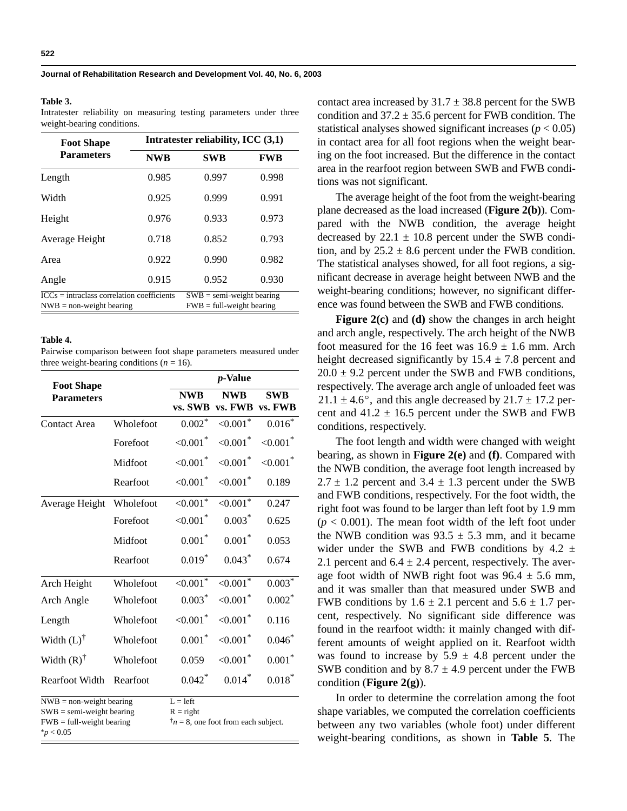#### **Table 3.**

Intratester reliability on measuring testing parameters under three weight-bearing conditions.

| <b>Foot Shape</b>                                                                     | Intratester reliability, ICC $(3,1)$                       |            |            |  |  |  |  |  |
|---------------------------------------------------------------------------------------|------------------------------------------------------------|------------|------------|--|--|--|--|--|
| <b>Parameters</b>                                                                     | <b>NWB</b>                                                 | <b>SWB</b> | <b>FWB</b> |  |  |  |  |  |
| Length                                                                                | 0.985                                                      | 0.997      | 0.998      |  |  |  |  |  |
| Width                                                                                 | 0.925                                                      | 0.999      | 0.991      |  |  |  |  |  |
| Height                                                                                | 0.976                                                      | 0.933      | 0.973      |  |  |  |  |  |
| Average Height                                                                        | 0.718                                                      | 0.852      | 0.793      |  |  |  |  |  |
| Area                                                                                  | 0.922                                                      | 0.990      | 0.982      |  |  |  |  |  |
| Angle                                                                                 | 0.915                                                      | 0.952      | 0.930      |  |  |  |  |  |
| $\overline{ICCs}$ = intraclass correlation coefficients<br>$NWB = non-weight bearing$ | $SWB = semi-weight bearing$<br>$FWB = full-weight bearing$ |            |            |  |  |  |  |  |

#### **Table 4.**

Pairwise comparison between foot shape parameters measured under three weight-bearing conditions  $(n = 16)$ .

| <b>Foot Shape</b>                                                                                          | <i>p</i> -Value           |                                              |                         |                         |  |  |  |
|------------------------------------------------------------------------------------------------------------|---------------------------|----------------------------------------------|-------------------------|-------------------------|--|--|--|
| <b>Parameters</b>                                                                                          |                           | <b>NWB</b><br>vs. SWB                        | <b>NWB</b><br>vs. FWB   | <b>SWB</b><br>vs. FWB   |  |  |  |
|                                                                                                            |                           |                                              |                         |                         |  |  |  |
| Contact Area                                                                                               | Wholefoot                 | $0.002*$                                     | ${<}0.001*$             | $0.016*$                |  |  |  |
|                                                                                                            | Forefoot                  | ${<}0.001$ <sup>*</sup>                      | ${<}0.001$ <sup>*</sup> | ${<}0.001$ <sup>*</sup> |  |  |  |
|                                                                                                            | Midfoot                   | ${<}0.001$ <sup>*</sup>                      | ${<}0.001$ <sup>*</sup> | ${<}0.001$ <sup>*</sup> |  |  |  |
|                                                                                                            | Rearfoot                  | ${<}0.001$ <sup>*</sup>                      | ${<}0.001$ <sup>*</sup> | 0.189                   |  |  |  |
| Average Height                                                                                             | Wholefoot                 | $<0.001$ <sup>*</sup>                        | $<0.001$ <sup>*</sup>   | 0.247                   |  |  |  |
|                                                                                                            | Forefoot                  | ${<}0.001*$                                  | $0.003*$                | 0.625                   |  |  |  |
|                                                                                                            | Midfoot                   | $0.001*$                                     | $0.001*$                | 0.053                   |  |  |  |
|                                                                                                            | Rearfoot                  | $0.019*$                                     | $0.043*$                | 0.674                   |  |  |  |
| Arch Height                                                                                                | Wholefoot                 | ${<}0.001*$                                  | $<0.001$ <sup>*</sup>   | $0.003*$                |  |  |  |
| Arch Angle                                                                                                 | Wholefoot                 | $0.003*$                                     | ${<}0.001*$             | $0.002*$                |  |  |  |
| Length                                                                                                     | Wholefoot                 | ${<}0.001*$                                  | ${<}0.001*$             | 0.116                   |  |  |  |
| Width $(L)$ <sup>†</sup>                                                                                   | Wholefoot                 | $0.001*$                                     | ${<}0.001*$             | $0.046*$                |  |  |  |
| Width $(R)$ <sup>†</sup>                                                                                   | Wholefoot                 | 0.059                                        | ${<}0.001*$             | $0.001*$                |  |  |  |
| Rearfoot Width                                                                                             | Rearfoot                  | $0.042*$                                     | $0.014*$                | $0.018*$                |  |  |  |
| $NWB = non-weight bearing$<br>$SWB = semi-weight bearing$<br>$FWB = full-weight bearing$<br>$*_{p}$ < 0.05 | $L = left$<br>$R = right$ | $\dagger$ n = 8, one foot from each subject. |                         |                         |  |  |  |

contact area increased by  $31.7 \pm 38.8$  percent for the SWB condition and  $37.2 \pm 35.6$  percent for FWB condition. The statistical analyses showed significant increases  $(p < 0.05)$ in contact area for all foot regions when the weight bearing on the foot increased. But the difference in the contact area in the rearfoot region between SWB and FWB conditions was not significant.

The average height of the foot from the weight-bearing plane decreased as the load increased (**Figure 2(b)**). Compared with the NWB condition, the average height decreased by  $22.1 \pm 10.8$  percent under the SWB condition, and by  $25.2 \pm 8.6$  percent under the FWB condition. The statistical analyses showed, for all foot regions, a significant decrease in average height between NWB and the weight-bearing conditions; however, no significant difference was found between the SWB and FWB conditions.

**Figure 2(c)** and **(d)** show the changes in arch height and arch angle, respectively. The arch height of the NWB foot measured for the 16 feet was  $16.9 \pm 1.6$  mm. Arch height decreased significantly by  $15.4 \pm 7.8$  percent and  $20.0 \pm 9.2$  percent under the SWB and FWB conditions, respectively. The average arch angle of unloaded feet was  $21.1 \pm 4.6^{\circ}$ , and this angle decreased by  $21.7 \pm 17.2$  percent and  $41.2 \pm 16.5$  percent under the SWB and FWB conditions, respectively.

The foot length and width were changed with weight bearing, as shown in **Figure 2(e)** and **(f)**. Compared with the NWB condition, the average foot length increased by  $2.7 \pm 1.2$  percent and  $3.4 \pm 1.3$  percent under the SWB and FWB conditions, respectively. For the foot width, the right foot was found to be larger than left foot by 1.9 mm  $(p < 0.001)$ . The mean foot width of the left foot under the NWB condition was  $93.5 \pm 5.3$  mm, and it became wider under the SWB and FWB conditions by  $4.2 \pm$ 2.1 percent and  $6.4 \pm 2.4$  percent, respectively. The average foot width of NWB right foot was  $96.4 \pm 5.6$  mm, and it was smaller than that measured under SWB and FWB conditions by  $1.6 \pm 2.1$  percent and  $5.6 \pm 1.7$  percent, respectively. No significant side difference was found in the rearfoot width: it mainly changed with different amounts of weight applied on it. Rearfoot width was found to increase by  $5.9 \pm 4.8$  percent under the SWB condition and by  $8.7 \pm 4.9$  percent under the FWB condition (**Figure 2(g)**).

In order to determine the correlation among the foot shape variables, we computed the correlation coefficients between any two variables (whole foot) under different weight-bearing conditions, as shown in **Table 5**. The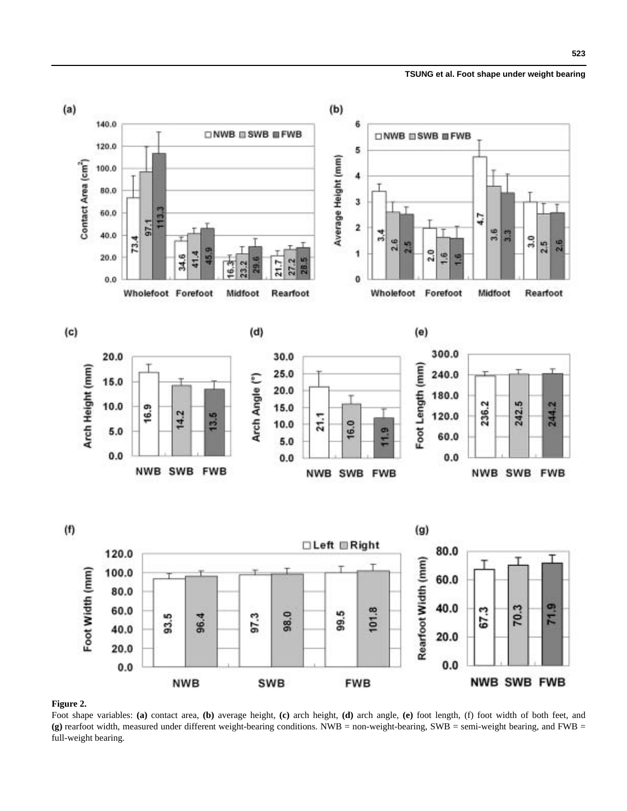**523**



# **Figure 2.**

Foot shape variables: **(a)** contact area, **(b)** average height, **(c)** arch height, **(d)** arch angle, **(e)** foot length, (f) foot width of both feet, and **(g)** rearfoot width, measured under different weight-bearing conditions. NWB = non-weight-bearing, SWB = semi-weight bearing, and FWB = full-weight bearing.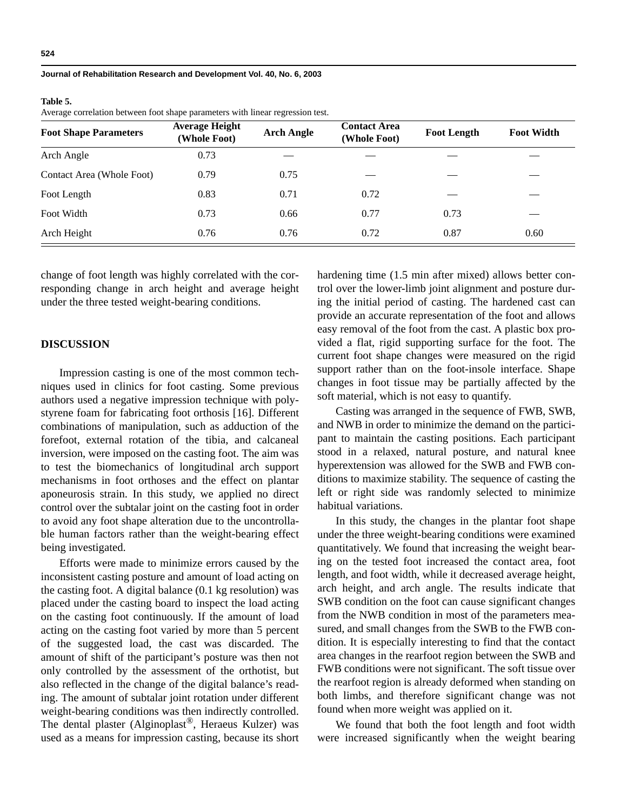#### **Table 5.**

Average correlation between foot shape parameters with linear regression test.

| <b>Foot Shape Parameters</b> | <b>Average Height</b><br>(Whole Foot) | <b>Arch Angle</b> | <b>Contact Area</b><br>(Whole Foot) | <b>Foot Length</b> | <b>Foot Width</b> |
|------------------------------|---------------------------------------|-------------------|-------------------------------------|--------------------|-------------------|
| Arch Angle                   | 0.73                                  |                   |                                     |                    |                   |
| Contact Area (Whole Foot)    | 0.79                                  | 0.75              |                                     |                    |                   |
| Foot Length                  | 0.83                                  | 0.71              | 0.72                                |                    |                   |
| Foot Width                   | 0.73                                  | 0.66              | 0.77                                | 0.73               |                   |
| Arch Height                  | 0.76                                  | 0.76              | 0.72                                | 0.87               | 0.60              |

change of foot length was highly correlated with the corresponding change in arch height and average height under the three tested weight-bearing conditions.

# **DISCUSSION**

Impression casting is one of the most common techniques used in clinics for foot casting. Some previous authors used a negative impression technique with polystyrene foam for fabricating foot orthosis [16]. Different combinations of manipulation, such as adduction of the forefoot, external rotation of the tibia, and calcaneal inversion, were imposed on the casting foot. The aim was to test the biomechanics of longitudinal arch support mechanisms in foot orthoses and the effect on plantar aponeurosis strain. In this study, we applied no direct control over the subtalar joint on the casting foot in order to avoid any foot shape alteration due to the uncontrollable human factors rather than the weight-bearing effect being investigated.

Efforts were made to minimize errors caused by the inconsistent casting posture and amount of load acting on the casting foot. A digital balance (0.1 kg resolution) was placed under the casting board to inspect the load acting on the casting foot continuously. If the amount of load acting on the casting foot varied by more than 5 percent of the suggested load, the cast was discarded. The amount of shift of the participant's posture was then not only controlled by the assessment of the orthotist, but also reflected in the change of the digital balance's reading. The amount of subtalar joint rotation under different weight-bearing conditions was then indirectly controlled. The dental plaster (Alginoplast®, Heraeus Kulzer) was used as a means for impression casting, because its short hardening time (1.5 min after mixed) allows better control over the lower-limb joint alignment and posture during the initial period of casting. The hardened cast can provide an accurate representation of the foot and allows easy removal of the foot from the cast. A plastic box provided a flat, rigid supporting surface for the foot. The current foot shape changes were measured on the rigid support rather than on the foot-insole interface. Shape changes in foot tissue may be partially affected by the soft material, which is not easy to quantify.

Casting was arranged in the sequence of FWB, SWB, and NWB in order to minimize the demand on the participant to maintain the casting positions. Each participant stood in a relaxed, natural posture, and natural knee hyperextension was allowed for the SWB and FWB conditions to maximize stability. The sequence of casting the left or right side was randomly selected to minimize habitual variations.

In this study, the changes in the plantar foot shape under the three weight-bearing conditions were examined quantitatively. We found that increasing the weight bearing on the tested foot increased the contact area, foot length, and foot width, while it decreased average height, arch height, and arch angle. The results indicate that SWB condition on the foot can cause significant changes from the NWB condition in most of the parameters measured, and small changes from the SWB to the FWB condition. It is especially interesting to find that the contact area changes in the rearfoot region between the SWB and FWB conditions were not significant. The soft tissue over the rearfoot region is already deformed when standing on both limbs, and therefore significant change was not found when more weight was applied on it.

We found that both the foot length and foot width were increased significantly when the weight bearing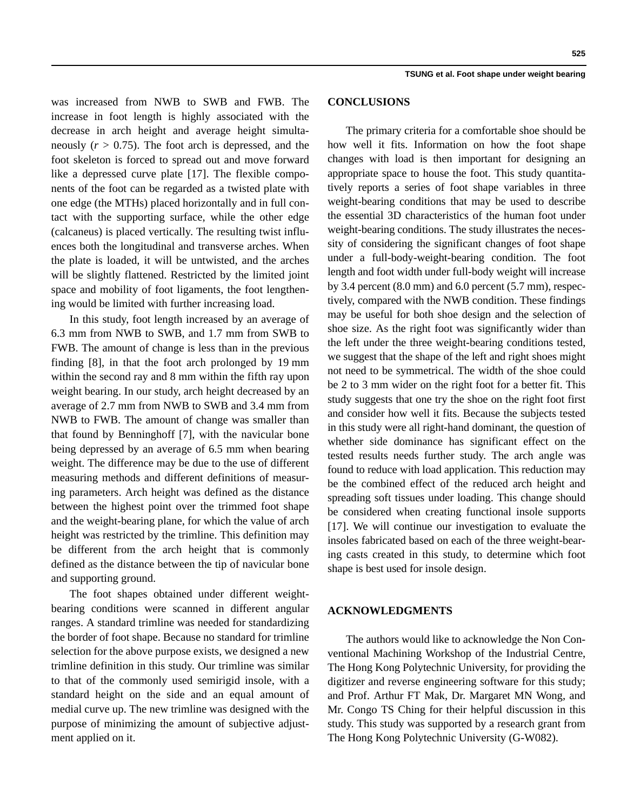was increased from NWB to SWB and FWB. The increase in foot length is highly associated with the decrease in arch height and average height simultaneously  $(r > 0.75)$ . The foot arch is depressed, and the foot skeleton is forced to spread out and move forward like a depressed curve plate [17]. The flexible components of the foot can be regarded as a twisted plate with one edge (the MTHs) placed horizontally and in full contact with the supporting surface, while the other edge (calcaneus) is placed vertically. The resulting twist influences both the longitudinal and transverse arches. When the plate is loaded, it will be untwisted, and the arches will be slightly flattened. Restricted by the limited joint space and mobility of foot ligaments, the foot lengthening would be limited with further increasing load.

In this study, foot length increased by an average of 6.3 mm from NWB to SWB, and 1.7 mm from SWB to FWB. The amount of change is less than in the previous finding [8], in that the foot arch prolonged by 19 mm within the second ray and 8 mm within the fifth ray upon weight bearing. In our study, arch height decreased by an average of 2.7 mm from NWB to SWB and 3.4 mm from NWB to FWB. The amount of change was smaller than that found by Benninghoff [7], with the navicular bone being depressed by an average of 6.5 mm when bearing weight. The difference may be due to the use of different measuring methods and different definitions of measuring parameters. Arch height was defined as the distance between the highest point over the trimmed foot shape and the weight-bearing plane, for which the value of arch height was restricted by the trimline. This definition may be different from the arch height that is commonly defined as the distance between the tip of navicular bone and supporting ground.

The foot shapes obtained under different weightbearing conditions were scanned in different angular ranges. A standard trimline was needed for standardizing the border of foot shape. Because no standard for trimline selection for the above purpose exists, we designed a new trimline definition in this study. Our trimline was similar to that of the commonly used semirigid insole, with a standard height on the side and an equal amount of medial curve up. The new trimline was designed with the purpose of minimizing the amount of subjective adjustment applied on it.

## **CONCLUSIONS**

The primary criteria for a comfortable shoe should be how well it fits. Information on how the foot shape changes with load is then important for designing an appropriate space to house the foot. This study quantitatively reports a series of foot shape variables in three weight-bearing conditions that may be used to describe the essential 3D characteristics of the human foot under weight-bearing conditions. The study illustrates the necessity of considering the significant changes of foot shape under a full-body-weight-bearing condition. The foot length and foot width under full-body weight will increase by 3.4 percent  $(8.0 \text{ mm})$  and  $6.0 \text{ percent}$   $(5.7 \text{ mm})$ , respectively, compared with the NWB condition. These findings may be useful for both shoe design and the selection of shoe size. As the right foot was significantly wider than the left under the three weight-bearing conditions tested, we suggest that the shape of the left and right shoes might not need to be symmetrical. The width of the shoe could be 2 to 3 mm wider on the right foot for a better fit. This study suggests that one try the shoe on the right foot first and consider how well it fits. Because the subjects tested in this study were all right-hand dominant, the question of whether side dominance has significant effect on the tested results needs further study. The arch angle was found to reduce with load application. This reduction may be the combined effect of the reduced arch height and spreading soft tissues under loading. This change should be considered when creating functional insole supports [17]. We will continue our investigation to evaluate the insoles fabricated based on each of the three weight-bearing casts created in this study, to determine which foot shape is best used for insole design.

## **ACKNOWLEDGMENTS**

The authors would like to acknowledge the Non Conventional Machining Workshop of the Industrial Centre, The Hong Kong Polytechnic University, for providing the digitizer and reverse engineering software for this study; and Prof. Arthur FT Mak, Dr. Margaret MN Wong, and Mr. Congo TS Ching for their helpful discussion in this study. This study was supported by a research grant from The Hong Kong Polytechnic University (G-W082).